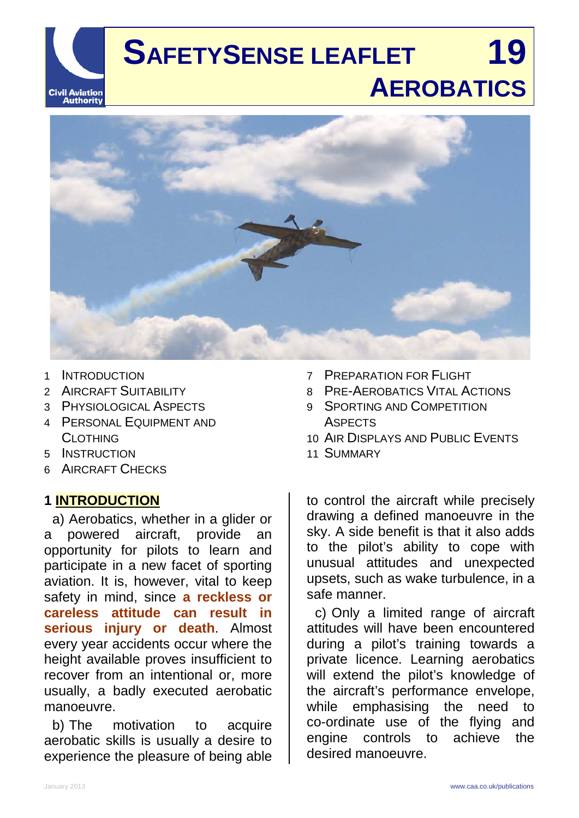

# **SAFETYSENSE LEAFLET 19 AEROBATICS**



- 1 INTRODUCTION
- 2 AIRCRAFT SUITABILITY
- 3 PHYSIOLOGICAL ASPECTS
- 4 PERSONAL EQUIPMENT AND CLOTHING
- 5 INSTRUCTION
- 6 AIRCRAFT CHECKS

#### **1 INTRODUCTION**

a) Aerobatics, whether in a glider or a powered aircraft, provide an opportunity for pilots to learn and participate in a new facet of sporting aviation. It is, however, vital to keep safety in mind, since **a reckless or careless attitude can result in serious injury or death**. Almost every year accidents occur where the height available proves insufficient to recover from an intentional or, more usually, a badly executed aerobatic manoeuvre.

b) The motivation to acquire aerobatic skills is usually a desire to experience the pleasure of being able

- 7 PREPARATION FOR FLIGHT
- 8 PRE-AEROBATICS VITAL ACTIONS
- 9 SPORTING AND COMPETITION **ASPECTS**
- 10 AIR DISPLAYS AND PUBLIC EVENTS
- 11 SUMMARY

to control the aircraft while precisely drawing a defined manoeuvre in the sky. A side benefit is that it also adds to the pilot's ability to cope with unusual attitudes and unexpected upsets, such as wake turbulence, in a safe manner.

c) Only a limited range of aircraft attitudes will have been encountered during a pilot's training towards a private licence. Learning aerobatics will extend the pilot's knowledge of the aircraft's performance envelope, while emphasising the need to co-ordinate use of the flying and engine controls to achieve the desired manoeuvre.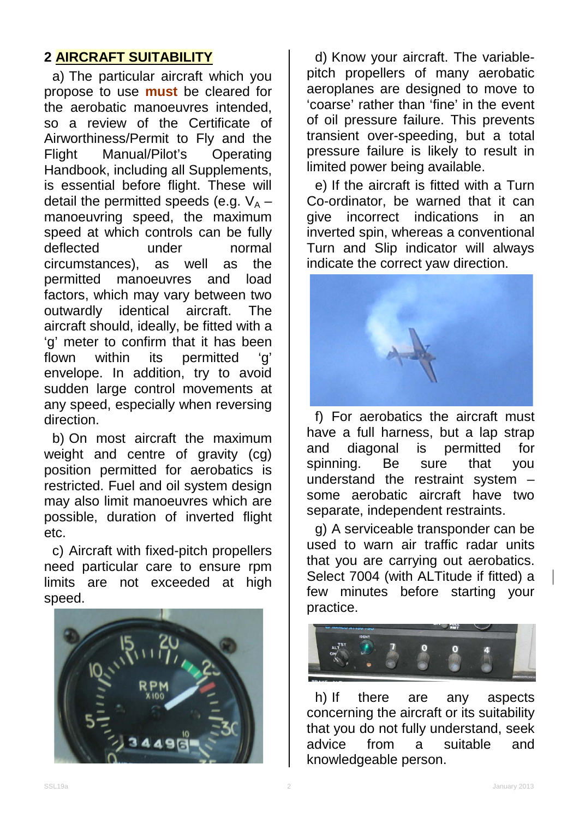## **2 AIRCRAFT SUITABILITY**

a) The particular aircraft which you propose to use **must** be cleared for the aerobatic manoeuvres intended, so a review of the Certificate of Airworthiness/Permit to Fly and the Flight Manual/Pilot's Operating Handbook, including all Supplements, is essential before flight. These will detail the permitted speeds (e.g.  $V_A$  – manoeuvring speed, the maximum speed at which controls can be fully deflected under normal circumstances), as well as the permitted manoeuvres and load factors, which may vary between two outwardly identical aircraft. The aircraft should, ideally, be fitted with a 'g' meter to confirm that it has been<br>flown within its permitted 'g' its permitted 'a' envelope. In addition, try to avoid sudden large control movements at any speed, especially when reversing direction.

b) On most aircraft the maximum weight and centre of gravity (cg) position permitted for aerobatics is restricted. Fuel and oil system design may also limit manoeuvres which are possible, duration of inverted flight etc.

c) Aircraft with fixed-pitch propellers need particular care to ensure rpm limits are not exceeded at high speed.



d) Know your aircraft. The variablepitch propellers of many aerobatic aeroplanes are designed to move to 'coarse' rather than 'fine' in the event of oil pressure failure. This prevents transient over-speeding, but a total pressure failure is likely to result in limited power being available.

e) If the aircraft is fitted with a Turn Co-ordinator, be warned that it can give incorrect indications in an inverted spin, whereas a conventional Turn and Slip indicator will always indicate the correct yaw direction.



f) For aerobatics the aircraft must have a full harness, but a lap strap and diagonal is permitted for spinning. Be sure that you understand the restraint system – some aerobatic aircraft have two separate, independent restraints.

g) A serviceable transponder can be used to warn air traffic radar units that you are carrying out aerobatics. Select 7004 (with ALTitude if fitted) a few minutes before starting your practice.



h) If there are any aspects concerning the aircraft or its suitability that you do not fully understand, seek advice from a suitable and knowledgeable person.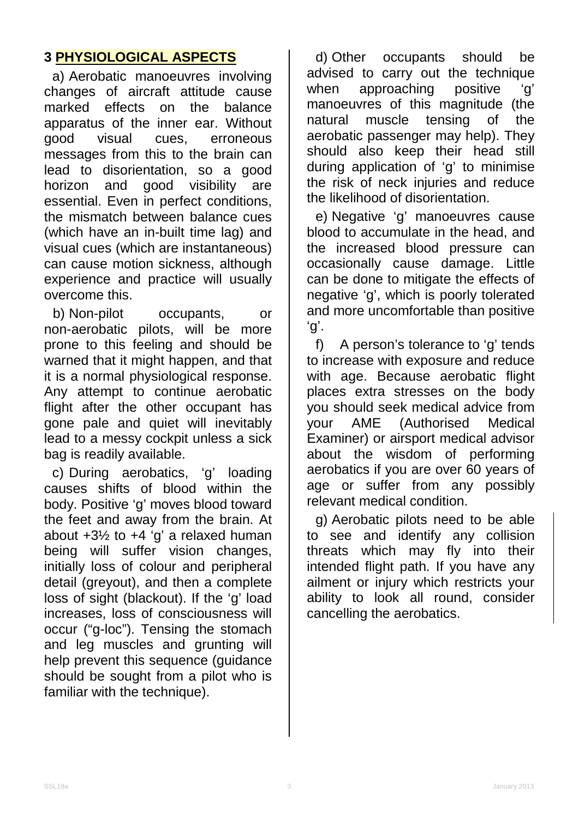## **3 PHYSIOLOGICAL ASPECTS**

a) Aerobatic manoeuvres involving changes of aircraft attitude cause marked effects on the balance apparatus of the inner ear. Without good visual cues, erroneous messages from this to the brain can lead to disorientation, so a good horizon and good visibility are essential. Even in perfect conditions, the mismatch between balance cues (which have an in-built time lag) and visual cues (which are instantaneous) can cause motion sickness, although experience and practice will usually overcome this.

b) Non-pilot occupants, or non-aerobatic pilots, will be more prone to this feeling and should be warned that it might happen, and that it is a normal physiological response. Any attempt to continue aerobatic flight after the other occupant has gone pale and quiet will inevitably lead to a messy cockpit unless a sick bag is readily available.

c) During aerobatics, 'g' loading causes shifts of blood within the body. Positive 'g' moves blood toward the feet and away from the brain. At about  $+3\frac{1}{2}$  to  $+4\frac{1}{2}$  a relaxed human being will suffer vision changes, initially loss of colour and peripheral detail (greyout), and then a complete loss of sight (blackout). If the 'g' load increases, loss of consciousness will occur ("g-loc"). Tensing the stomach and leg muscles and grunting will help prevent this sequence (guidance should be sought from a pilot who is familiar with the technique).

d) Other occupants should be advised to carry out the technique when approaching positive 'g' manoeuvres of this magnitude (the natural muscle tensing of the aerobatic passenger may help). They should also keep their head still during application of 'g' to minimise the risk of neck injuries and reduce the likelihood of disorientation.

e) Negative 'g' manoeuvres cause blood to accumulate in the head, and the increased blood pressure can occasionally cause damage. Little can be done to mitigate the effects of negative 'g', which is poorly tolerated and more uncomfortable than positive 'g'.

f) A person's tolerance to 'g' tends to increase with exposure and reduce with age. Because aerobatic flight places extra stresses on the body you should seek medical advice from your AME (Authorised Medical Examiner) or airsport medical advisor about the wisdom of performing aerobatics if you are over 60 years of age or suffer from any possibly relevant medical condition.

g) Aerobatic pilots need to be able to see and identify any collision threats which may fly into their intended flight path. If you have any ailment or injury which restricts your ability to look all round, consider cancelling the aerobatics.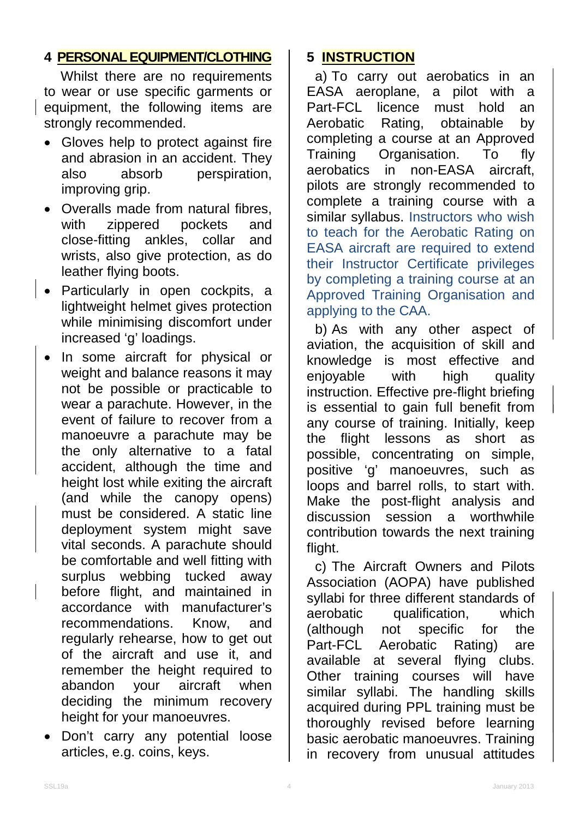### **4 PERSONAL EQUIPMENT/CLOTHING**

Whilst there are no requirements to wear or use specific garments or equipment, the following items are strongly recommended.

- Gloves help to protect against fire and abrasion in an accident. They<br>also absorb perspiration. also absorb perspiration, improving grip.
- Overalls made from natural fibres, with zippered pockets and<br>close-fitting ankles collar and close-fitting ankles, collar wrists, also give protection, as do leather flying boots.
- Particularly in open cockpits, a lightweight helmet gives protection while minimising discomfort under increased 'g' loadings.
- In some aircraft for physical or weight and balance reasons it may not be possible or practicable to wear a parachute. However, in the event of failure to recover from a manoeuvre a parachute may be the only alternative to a fatal accident, although the time and height lost while exiting the aircraft (and while the canopy opens) must be considered. A static line deployment system might save vital seconds. A parachute should be comfortable and well fitting with surplus webbing tucked away before flight, and maintained in accordance with manufacturer's recommendations. Know, and regularly rehearse, how to get out of the aircraft and use it, and remember the height required to abandon your aircraft when deciding the minimum recovery height for your manoeuvres.
- Don't carry any potential loose articles, e.g. coins, keys.

## **5 INSTRUCTION**

a) To carry out aerobatics in an<br>:ASA aeroplane, a pilot with a EASA aeroplane, Part-FCL licence must hold an<br>Aerobatic Rating, obtainable by Rating, obtainable by completing a course at an Approved Training Organisation. To fly aerobatics in non-EASA aircraft, pilots are strongly recommended to complete a training course with a similar syllabus. Instructors who wish to teach for the Aerobatic Rating on EASA aircraft are required to extend their Instructor Certificate privileges by completing a training course at an Approved Training Organisation and applying to the CAA.

b) As with any other aspect of aviation, the acquisition of skill and knowledge is most effective and enjoyable with high quality instruction. Effective pre-flight briefing is essential to gain full benefit from any course of training. Initially, keep the flight lessons as short as possible, concentrating on simple, positive 'g' manoeuvres, such as loops and barrel rolls, to start with. Make the post-flight analysis and discussion session a worthwhile contribution towards the next training flight.

c) The Aircraft Owners and Pilots Association (AOPA) have published syllabi for three different standards of aerobatic qualification, which (although not specific for the Part-FCL Aerobatic Rating) are available at several flying clubs. Other training courses will have similar syllabi. The handling skills acquired during PPL training must be thoroughly revised before learning basic aerobatic manoeuvres. Training in recovery from unusual attitudes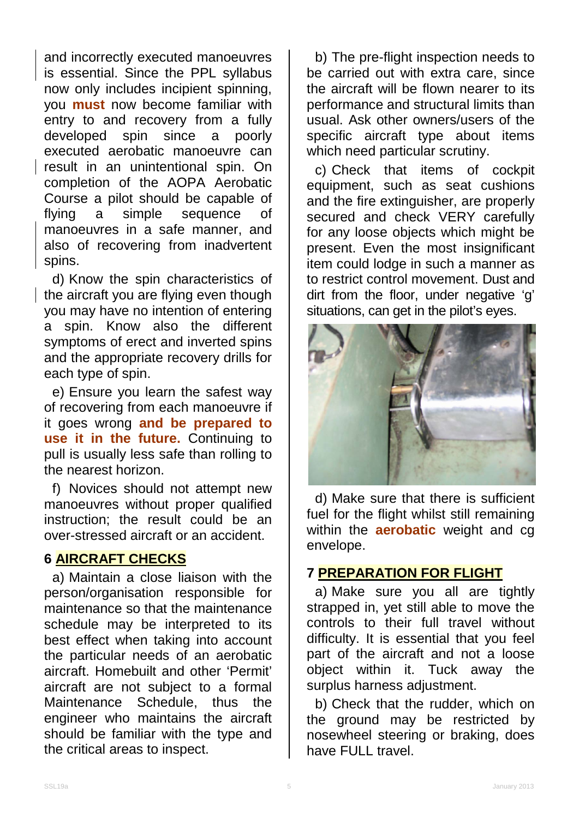and incorrectly executed manoeuvres is essential. Since the PPL syllabus now only includes incipient spinning, you **must** now become familiar with entry to and recovery from a fully developed spin since a poorly executed aerobatic manoeuvre can result in an unintentional spin. On completion of the AOPA Aerobatic Course a pilot should be capable of<br>flying a simple sequence of flying a simple sequence of manoeuvres in a safe manner, and also of recovering from inadvertent spins.

d) Know the spin characteristics of the aircraft you are flying even though you may have no intention of entering a spin. Know also the different symptoms of erect and inverted spins and the appropriate recovery drills for each type of spin.

e) Ensure you learn the safest way of recovering from each manoeuvre if it goes wrong **and be prepared to use it in the future.** Continuing to pull is usually less safe than rolling to the nearest horizon.

f) Novices should not attempt new manoeuvres without proper qualified instruction; the result could be an over-stressed aircraft or an accident.

#### **6 AIRCRAFT CHECKS**

a) Maintain a close liaison with the person/organisation responsible for maintenance so that the maintenance schedule may be interpreted to its best effect when taking into account the particular needs of an aerobatic aircraft. Homebuilt and other 'Permit' aircraft are not subject to a formal Maintenance Schedule, thus the engineer who maintains the aircraft should be familiar with the type and the critical areas to inspect.

b) The pre-flight inspection needs to be carried out with extra care, since the aircraft will be flown nearer to its performance and structural limits than usual. Ask other owners/users of the specific aircraft type about items which need particular scrutiny.

c) Check that items of cockpit equipment, such as seat cushions and the fire extinguisher, are properly secured and check VERY carefully for any loose objects which might be present. Even the most insignificant item could lodge in such a manner as to restrict control movement. Dust and dirt from the floor, under negative 'g' situations, can get in the pilot's eyes.



d) Make sure that there is sufficient fuel for the flight whilst still remaining within the **aerobatic** weight and cg envelope.

#### **7 PREPARATION FOR FLIGHT**

a) Make sure you all are tightly strapped in, yet still able to move the controls to their full travel without difficulty. It is essential that you feel part of the aircraft and not a loose object within it. Tuck away the surplus harness adjustment.

b) Check that the rudder, which on the ground may be restricted by nosewheel steering or braking, does have FULL travel.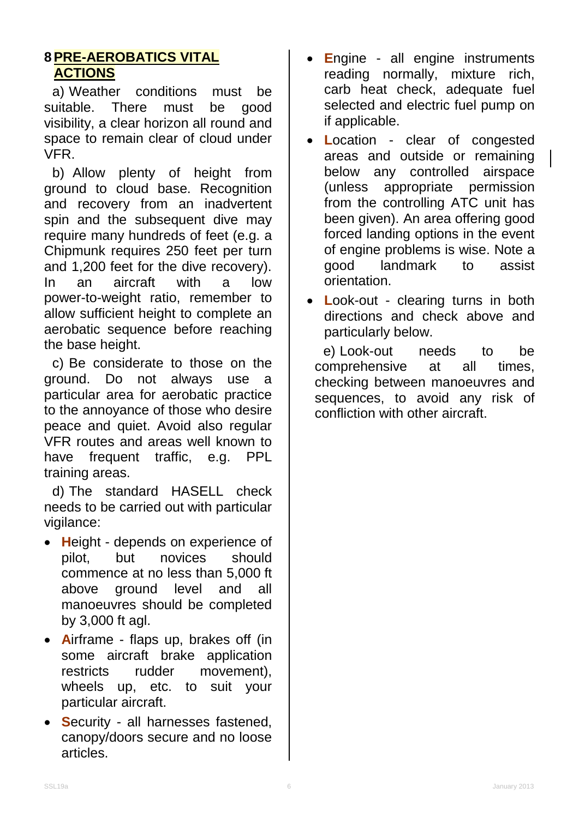#### **8 PRE-AEROBATICS VITAL ACTIONS**

a) Weather conditions must be suitable. There must be good visibility, a clear horizon all round and space to remain clear of cloud under VFR.

b) Allow plenty of height from ground to cloud base. Recognition and recovery from an inadvertent spin and the subsequent dive may require many hundreds of feet (e.g. a Chipmunk requires 250 feet per turn and 1,200 feet for the dive recovery). In an aircraft with a low power-to-weight ratio, remember to allow sufficient height to complete an aerobatic sequence before reaching the base height.

c) Be considerate to those on the ground. Do not always use a particular area for aerobatic practice to the annoyance of those who desire peace and quiet. Avoid also regular VFR routes and areas well known to have frequent traffic, e.g. PPL training areas.

d) The standard HASELL check needs to be carried out with particular vigilance:

- **H**eight depends on experience of pilot, but novices should commence at no less than 5,000 ft above ground level and all manoeuvres should be completed by 3,000 ft agl.
- **A**irframe flaps up, brakes off (in some aircraft brake application restricts rudder movement), wheels up, etc. to suit your particular aircraft.
- **S**ecurity all harnesses fastened, canopy/doors secure and no loose articles.
- **E**ngine all engine instruments reading normally, mixture rich, carb heat check, adequate fuel selected and electric fuel pump on if applicable.
- **L**ocation clear of congested areas and outside or remaining below any controlled airspace (unless appropriate permission from the controlling ATC unit has been given). An area offering good forced landing options in the event of engine problems is wise. Note a good landmark to assist orientation.
- **L**ook-out clearing turns in both directions and check above and particularly below.

e) Look-out needs to be comprehensive at all times, checking between manoeuvres and sequences, to avoid any risk of confliction with other aircraft.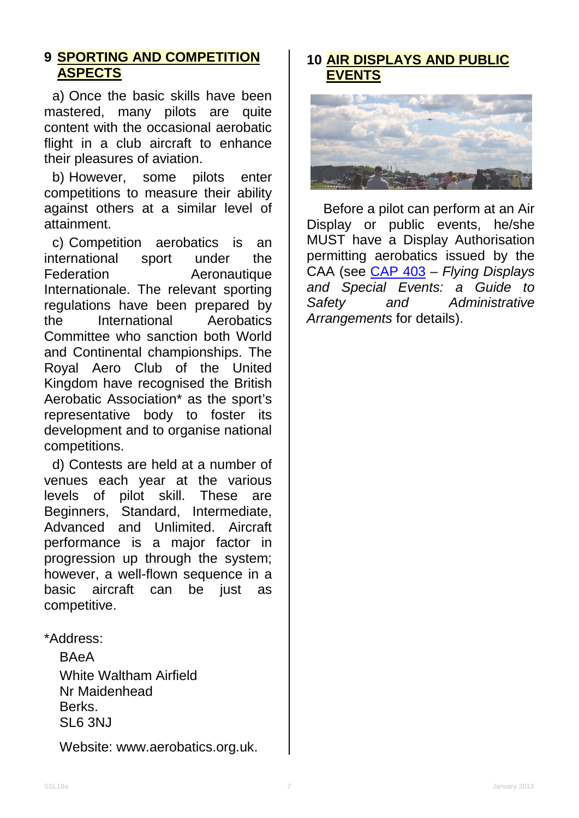#### **9 SPORTING AND COMPETITION ASPECTS**

a) Once the basic skills have been mastered, many pilots are quite content with the occasional aerobatic flight in a club aircraft to enhance their pleasures of aviation.

b) However, some pilots enter competitions to measure their ability against others at a similar level of attainment.

c) Competition aerobatics is an international sport under the Federation **Aeronautique** Internationale. The relevant sporting regulations have been prepared by the International Aerobatics Committee who sanction both World and Continental championships. The Royal Aero Club of the United Kingdom have recognised the British Aerobatic Association\* as the sport's representative body to foster its development and to organise national competitions.

d) Contests are held at a number of venues each year at the various levels of pilot skill. These are Beginners, Standard, Intermediate, Advanced and Unlimited. Aircraft performance is a major factor in progression up through the system; however, a well-flown sequence in a basic aircraft can be just as competitive.

#### \*Address:

**BAeA** White Waltham Airfield Nr Maidenhead Berks. SL6 3NJ

Website: www.aerobatics.org.uk.

#### **10 AIR DISPLAYS AND PUBLIC EVENTS**



Before a pilot can perform at an Air Display or public events, he/she MUST have a Display Authorisation permitting aerobatics issued by the CAA (see [CAP 403](http://www.caa.co.uk/cap403) – *Flying Displays and Special Events: a Guide to Safety and Administrative Arrangements* for details).